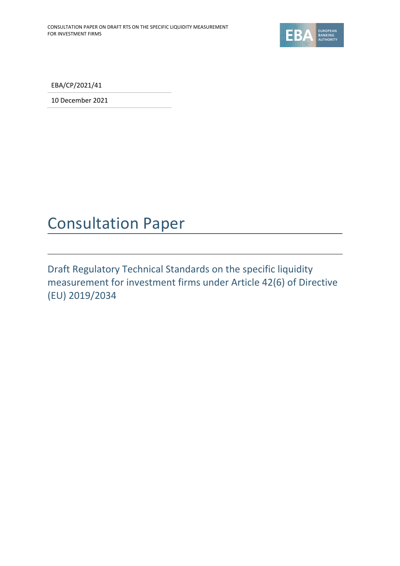

EBA/CP/2021/41

10 December 2021

# Consultation Paper

Draft Regulatory Technical Standards on the specific liquidity measurement for investment firms under Article 42(6) of Directive (EU) 2019/2034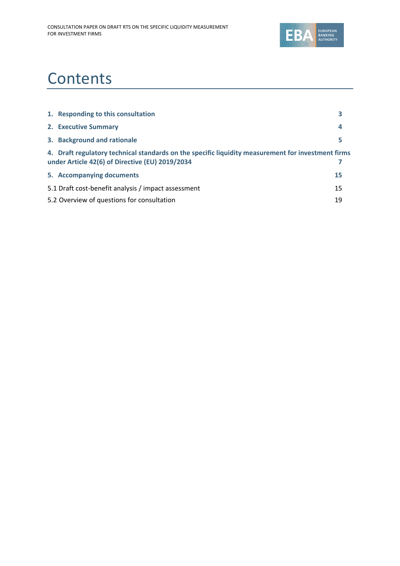

# **Contents**

| 1. Responding to this consultation                                                                                                                    |    |
|-------------------------------------------------------------------------------------------------------------------------------------------------------|----|
| 2. Executive Summary                                                                                                                                  | 4  |
| 3. Background and rationale                                                                                                                           | 5  |
| 4. Draft regulatory technical standards on the specific liquidity measurement for investment firms<br>under Article 42(6) of Directive (EU) 2019/2034 |    |
| 5. Accompanying documents                                                                                                                             | 15 |
| 5.1 Draft cost-benefit analysis / impact assessment                                                                                                   | 15 |
| 5.2 Overview of questions for consultation                                                                                                            | 19 |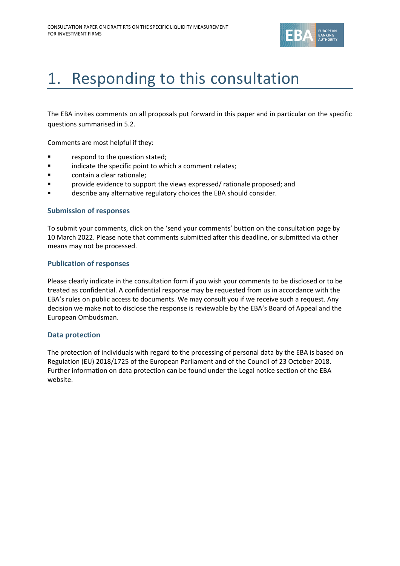

# <span id="page-2-0"></span>1. Responding to this consultation

The EBA invites comments on all proposals put forward in this paper and in particular on the specific questions summarised in 5.2.

Comments are most helpful if they:

- respond to the question stated;
- **■** indicate the specific point to which a comment relates;
- contain a clear rationale;
- **Provide evidence to support the views expressed/ rationale proposed; and**
- describe any alternative regulatory choices the EBA should consider.

#### **Submission of responses**

To submit your comments, click on the 'send your comments' button on the consultation page by 10 March 2022. Please note that comments submitted after this deadline, or submitted via other means may not be processed.

#### **Publication of responses**

Please clearly indicate in the consultation form if you wish your comments to be disclosed or to be treated as confidential. A confidential response may be requested from us in accordance with the EBA's rules on public access to documents. We may consult you if we receive such a request. Any decision we make not to disclose the response is reviewable by the EBA's Board of Appeal and the European Ombudsman.

#### **Data protection**

The protection of individuals with regard to the processing of personal data by the EBA is based on Regulation (EU) 2018/1725 of the European Parliament and of the Council of 23 October 2018. Further information on data protection can be found under the [Legal notice section](http://eba.europa.eu/legal-notice) of the EBA website.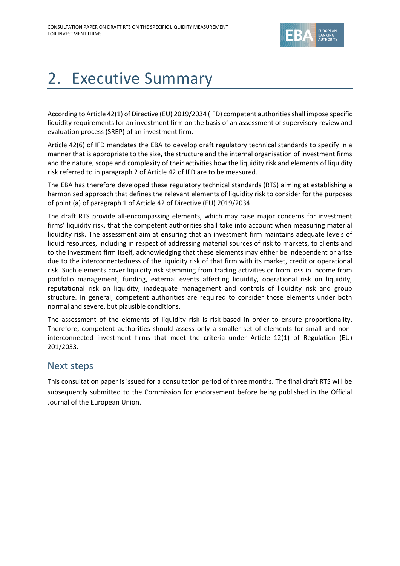

# <span id="page-3-0"></span>2. Executive Summary

According to Article 42(1) of Directive (EU) 2019/2034 (IFD) competent authorities shall impose specific liquidity requirements for an investment firm on the basis of an assessment of supervisory review and evaluation process (SREP) of an investment firm.

Article 42(6) of IFD mandates the EBA to develop draft regulatory technical standards to specify in a manner that is appropriate to the size, the structure and the internal organisation of investment firms and the nature, scope and complexity of their activities how the liquidity risk and elements of liquidity risk referred to in paragraph 2 of Article 42 of IFD are to be measured.

The EBA has therefore developed these regulatory technical standards (RTS) aiming at establishing a harmonised approach that defines the relevant elements of liquidity risk to consider for the purposes of point (a) of paragraph 1 of Article 42 of Directive (EU) 2019/2034.

The draft RTS provide all-encompassing elements, which may raise major concerns for investment firms' liquidity risk, that the competent authorities shall take into account when measuring material liquidity risk. The assessment aim at ensuring that an investment firm maintains adequate levels of liquid resources, including in respect of addressing material sources of risk to markets, to clients and to the investment firm itself, acknowledging that these elements may either be independent or arise due to the interconnectedness of the liquidity risk of that firm with its market, credit or operational risk. Such elements cover liquidity risk stemming from trading activities or from loss in income from portfolio management, funding, external events affecting liquidity, operational risk on liquidity, reputational risk on liquidity, inadequate management and controls of liquidity risk and group structure. In general, competent authorities are required to consider those elements under both normal and severe, but plausible conditions.

The assessment of the elements of liquidity risk is risk-based in order to ensure proportionality. Therefore, competent authorities should assess only a smaller set of elements for small and noninterconnected investment firms that meet the criteria under Article 12(1) of Regulation (EU) 201/2033.

# Next steps

This consultation paper is issued for a consultation period of three months. The final draft RTS will be subsequently submitted to the Commission for endorsement before being published in the Official Journal of the European Union.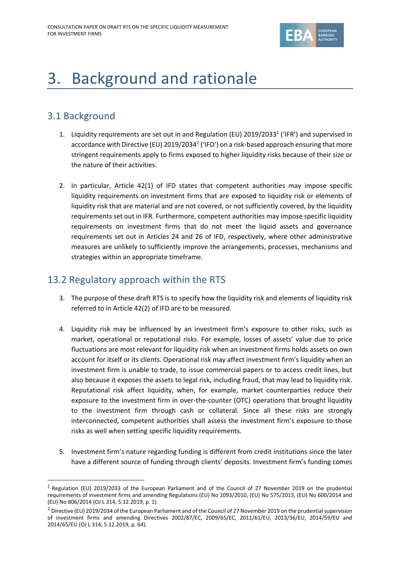

# <span id="page-4-0"></span>3. Background and rationale

# 3.1 Background

- 1. Liquidity requirements are set out in and Regulation (EU) 2019/2033<sup>1</sup> ('IFR') and supervised in accordance with Directive (EU) 2019/2034<sup>2</sup> ('IFD') on a risk-based approach ensuring that more stringent requirements apply to firms exposed to higher liquidity risks because of their size or the nature of their activities.
- 2. In particular, Article 42(1) of IFD states that competent authorities may impose specific liquidity requirements on investment firms that are exposed to liquidity risk or elements of liquidity risk that are material and are not covered, or not sufficiently covered, by the liquidity requirements set out in IFR. Furthermore, competent authorities may impose specific liquidity requirements on investment firms that do not meet the liquid assets and governance requirements set out in Articles 24 and 26 of IFD, respectively, where other administrative measures are unlikely to sufficiently improve the arrangements, processes, mechanisms and strategies within an appropriate timeframe.

# 13.2 Regulatory approach within the RTS

- 3. The purpose of these draft RTS is to specify how the liquidity risk and elements of liquidity risk referred to in Article 42(2) of IFD are to be measured.
- 4. Liquidity risk may be influenced by an investment firm's exposure to other risks, such as market, operational or reputational risks. For example, losses of assets' value due to price fluctuations are most relevant for liquidity risk when an investment firms holds assets on own account for itself or its clients. Operational risk may affect investment firm's liquidity when an investment firm is unable to trade, to issue commercial papers or to access credit lines, but also because it exposes the assets to legal risk, including fraud, that may lead to liquidity risk. Reputational risk affect liquidity, when, for example, market counterparties reduce their exposure to the investment firm in over-the-counter (OTC) operations that brought liquidity to the investment firm through cash or collateral. Since all these risks are strongly interconnected, competent authorities shall assess the investment firm's exposure to those risks as well when setting specific liquidity requirements.
- 5. Investment firm's nature regarding funding is different from credit institutions since the later have a different source of funding through clients' deposits. Investment firm's funding comes

<sup>&</sup>lt;sup>1</sup> Regulation (EU) 2019/2033 of the European Parliament and of the Council of 27 November 2019 on the prudential requirements of investment firms and amending Regulations (EU) No 1093/2010, (EU) No 575/2013, (EU) No 600/2014 and (EU) No 806/2014 (OJ L 314, 5.12.2019, p. 1).

 $<sup>2</sup>$  Directive (EU) 2019/2034 of the European Parliament and of the Council of 27 November 2019 on the prudential supervision</sup> of investment firms and amending Directives 2002/87/EC, 2009/65/EC, 2011/61/EU, 2013/36/EU, 2014/59/EU and 2014/65/EU (OJ L 314, 5.12.2019, p. 64).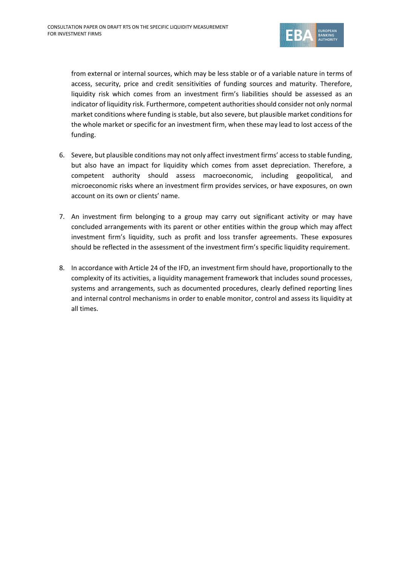

from external or internal sources, which may be less stable or of a variable nature in terms of access, security, price and credit sensitivities of funding sources and maturity. Therefore, liquidity risk which comes from an investment firm's liabilities should be assessed as an indicator of liquidity risk. Furthermore, competent authorities should consider not only normal market conditions where funding is stable, but also severe, but plausible market conditions for the whole market or specific for an investment firm, when these may lead to lost access of the funding.

- 6. Severe, but plausible conditions may not only affect investment firms' access to stable funding, but also have an impact for liquidity which comes from asset depreciation. Therefore, a competent authority should assess macroeconomic, including geopolitical, and microeconomic risks where an investment firm provides services, or have exposures, on own account on its own or clients' name.
- 7. An investment firm belonging to a group may carry out significant activity or may have concluded arrangements with its parent or other entities within the group which may affect investment firm's liquidity, such as profit and loss transfer agreements. These exposures should be reflected in the assessment of the investment firm's specific liquidity requirement.
- 8. In accordance with Article 24 of the IFD, an investment firm should have, proportionally to the complexity of its activities, a liquidity management framework that includes sound processes, systems and arrangements, such as documented procedures, clearly defined reporting lines and internal control mechanisms in order to enable monitor, control and assess its liquidity at all times.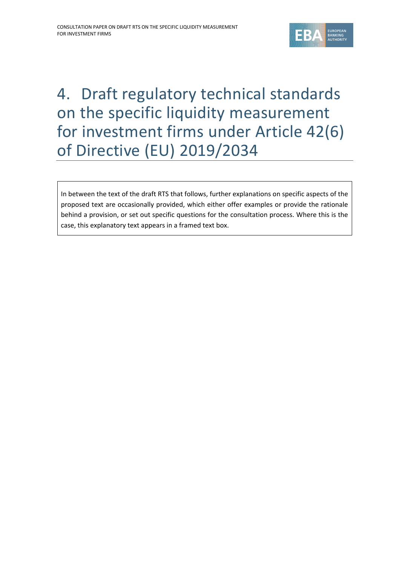

# <span id="page-6-0"></span>4. Draft regulatory technical standards on the specific liquidity measurement for investment firms under Article 42(6) of Directive (EU) 2019/2034

In between the text of the draft RTS that follows, further explanations on specific aspects of the proposed text are occasionally provided, which either offer examples or provide the rationale behind a provision, or set out specific questions for the consultation process. Where this is the case, this explanatory text appears in a framed text box.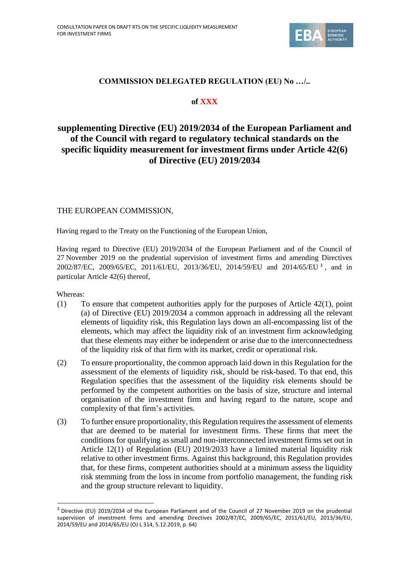

## **COMMISSION DELEGATED REGULATION (EU) No …/..**

## **of XXX**

# **supplementing Directive (EU) 2019/2034 of the European Parliament and of the Council with regard to regulatory technical standards on the specific liquidity measurement for investment firms under Article 42(6) of Directive (EU) 2019/2034**

#### THE EUROPEAN COMMISSION,

Having regard to the Treaty on the Functioning of the European Union,

Having regard to Directive (EU) 2019/2034 of the European Parliament and of the Council of 27 November 2019 on the prudential supervision of investment firms and amending Directives 2002/87/EC, 2009/65/EC, 2011/61/EU, 2013/36/EU, 2014/59/EU and 2014/65/EU <sup>3</sup> , and in particular Article 42(6) thereof,

Whereas:

- (1) To ensure that competent authorities apply for the purposes of Article 42(1), point (a) of Directive (EU) 2019/2034 a common approach in addressing all the relevant elements of liquidity risk, this Regulation lays down an all-encompassing list of the elements, which may affect the liquidity risk of an investment firm acknowledging that these elements may either be independent or arise due to the interconnectedness of the liquidity risk of that firm with its market, credit or operational risk.
- (2) To ensure proportionality, the common approach laid down in this Regulation for the assessment of the elements of liquidity risk, should be risk-based. To that end, this Regulation specifies that the assessment of the liquidity risk elements should be performed by the competent authorities on the basis of size, structure and internal organisation of the investment firm and having regard to the nature, scope and complexity of that firm's activities.
- (3) To further ensure proportionality, this Regulation requires the assessment of elements that are deemed to be material for investment firms. These firms that meet the conditions for qualifying as small and non-interconnected investment firms set out in Article 12(1) of Regulation (EU) 2019/2033 have a limited material liquidity risk relative to other investment firms. Against this background, this Regulation provides that, for these firms, competent authorities should at a minimum assess the liquidity risk stemming from the loss in income from portfolio management, the funding risk and the group structure relevant to liquidity.

<sup>3</sup> [Directive \(EU\) 2019/2034 of the European Parliament and of the Council of 27 November 2019 on the prudential](https://eur-lex.europa.eu/legal-content/EN/AUTO/?uri=uriserv:OJ.L_.2019.314.01.0064.01.ENG&toc=OJ:L:2019:314:TOC)  [supervision of investment firms and amending Directives 2002/87/EC, 2009/65/EC, 2011/61/EU, 2013/36/EU,](https://eur-lex.europa.eu/legal-content/EN/AUTO/?uri=uriserv:OJ.L_.2019.314.01.0064.01.ENG&toc=OJ:L:2019:314:TOC)  [2014/59/EU and 2014/65/EU](https://eur-lex.europa.eu/legal-content/EN/AUTO/?uri=uriserv:OJ.L_.2019.314.01.0064.01.ENG&toc=OJ:L:2019:314:TOC) (OJ L 314, 5.12.2019, p. 64)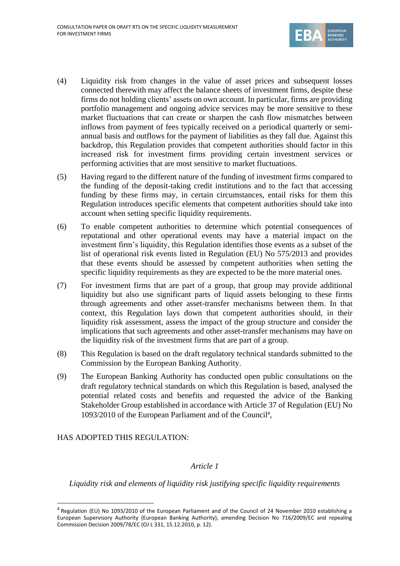

- (4) Liquidity risk from changes in the value of asset prices and subsequent losses connected therewith may affect the balance sheets of investment firms, despite these firms do not holding clients' assets on own account. In particular, firms are providing portfolio management and ongoing advice services may be more sensitive to these market fluctuations that can create or sharpen the cash flow mismatches between inflows from payment of fees typically received on a periodical quarterly or semiannual basis and outflows for the payment of liabilities as they fall due. Against this backdrop, this Regulation provides that competent authorities should factor in this increased risk for investment firms providing certain investment services or performing activities that are most sensitive to market fluctuations.
- (5) Having regard to the different nature of the funding of investment firms compared to the funding of the deposit-taking credit institutions and to the fact that accessing funding by these firms may, in certain circumstances, entail risks for them this Regulation introduces specific elements that competent authorities should take into account when setting specific liquidity requirements.
- (6) To enable competent authorities to determine which potential consequences of reputational and other operational events may have a material impact on the investment firm's liquidity, this Regulation identifies those events as a subset of the list of operational risk events listed in Regulation (EU) No 575/2013 and provides that these events should be assessed by competent authorities when setting the specific liquidity requirements as they are expected to be the more material ones.
- (7) For investment firms that are part of a group, that group may provide additional liquidity but also use significant parts of liquid assets belonging to these firms through agreements and other asset-transfer mechanisms between them. In that context, this Regulation lays down that competent authorities should, in their liquidity risk assessment, assess the impact of the group structure and consider the implications that such agreements and other asset-transfer mechanisms may have on the liquidity risk of the investment firms that are part of a group.
- (8) This Regulation is based on the draft regulatory technical standards submitted to the Commission by the European Banking Authority.
- (9) The European Banking Authority has conducted open public consultations on the draft regulatory technical standards on which this Regulation is based, analysed the potential related costs and benefits and requested the advice of the Banking Stakeholder Group established in accordance with Article 37 of Regulation (EU) No 1093/2010 of the European Parliament and of the Council<sup>4</sup>,

HAS ADOPTED THIS REGULATION:

## *Article 1*

*Liquidity risk and elements of liquidity risk justifying specific liquidity requirements*

<sup>&</sup>lt;sup>4</sup> Regulation (EU) No 1093/2010 of the European Parliament and of the Council of 24 November 2010 establishing a European Supervisory Authority (European Banking Authority), amending Decision No 716/2009/EC and repealing Commission Decision 2009/78/EC (OJ L 331, 15.12.2010, p. 12).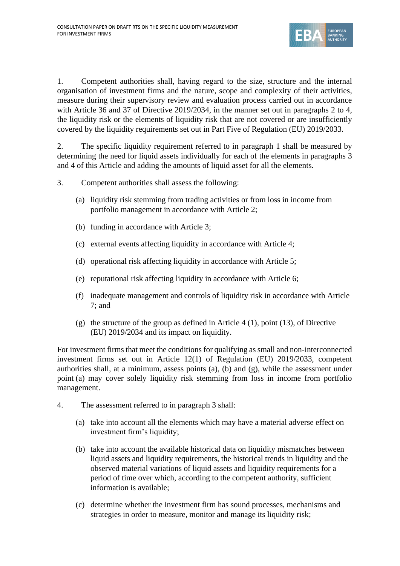

1. Competent authorities shall, having regard to the size, structure and the internal organisation of investment firms and the nature, scope and complexity of their activities, measure during their supervisory review and evaluation process carried out in accordance with Article 36 and 37 of Directive 2019/2034, in the manner set out in paragraphs 2 to 4, the liquidity risk or the elements of liquidity risk that are not covered or are insufficiently covered by the liquidity requirements set out in Part Five of Regulation (EU) 2019/2033.

2. The specific liquidity requirement referred to in paragraph 1 shall be measured by determining the need for liquid assets individually for each of the elements in paragraphs 3 and 4 of this Article and adding the amounts of liquid asset for all the elements.

3. Competent authorities shall assess the following:

- (a) liquidity risk stemming from trading activities or from loss in income from portfolio management in accordance with Article 2;
- (b) funding in accordance with Article 3;
- (c) external events affecting liquidity in accordance with Article 4;
- (d) operational risk affecting liquidity in accordance with Article 5;
- (e) reputational risk affecting liquidity in accordance with Article 6;
- (f) inadequate management and controls of liquidity risk in accordance with Article 7; and
- (g) the structure of the group as defined in Article 4 (1), point (13), of Directive (EU) 2019/2034 and its impact on liquidity.

For investment firms that meet the conditions for qualifying as small and non-interconnected investment firms set out in Article 12(1) of Regulation (EU) 2019/2033, competent authorities shall, at a minimum, assess points (a), (b) and (g), while the assessment under point (a) may cover solely liquidity risk stemming from loss in income from portfolio management.

- 4. The assessment referred to in paragraph 3 shall:
	- (a) take into account all the elements which may have a material adverse effect on investment firm's liquidity;
	- (b) take into account the available historical data on liquidity mismatches between liquid assets and liquidity requirements, the historical trends in liquidity and the observed material variations of liquid assets and liquidity requirements for a period of time over which, according to the competent authority, sufficient information is available;
	- (c) determine whether the investment firm has sound processes, mechanisms and strategies in order to measure, monitor and manage its liquidity risk;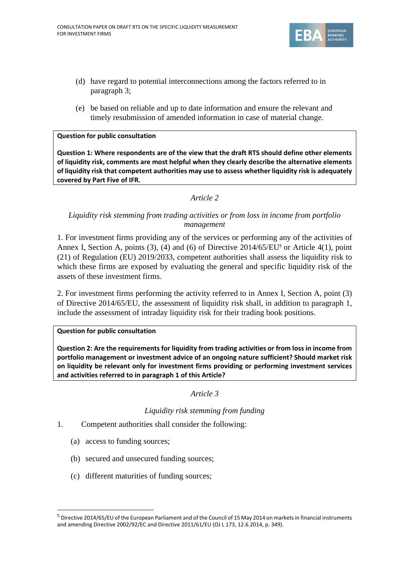

- (d) have regard to potential interconnections among the factors referred to in paragraph 3;
- (e) be based on reliable and up to date information and ensure the relevant and timely resubmission of amended information in case of material change.

#### **Question for public consultation**

**Question 1: Where respondents are of the view that the draft RTS should define other elements of liquidity risk, comments are most helpful when they clearly describe the alternative elements of liquidity risk that competent authorities may use to assess whether liquidity risk is adequately covered by Part Five of IFR.**

#### *Article 2*

#### *Liquidity risk stemming from trading activities or from loss in income from portfolio management*

1. For investment firms providing any of the services or performing any of the activities of Annex I, Section A, points (3), (4) and (6) of Directive  $2014/65/EU^5$  or Article 4(1), point (21) of Regulation (EU) 2019/2033, competent authorities shall assess the liquidity risk to which these firms are exposed by evaluating the general and specific liquidity risk of the assets of these investment firms.

2. For investment firms performing the activity referred to in Annex I, Section A, point (3) of Directive 2014/65/EU, the assessment of liquidity risk shall, in addition to paragraph 1, include the assessment of intraday liquidity risk for their trading book positions.

#### **Question for public consultation**

**Question 2: Are the requirements for liquidity from trading activities or from loss in income from portfolio management or investment advice of an ongoing nature sufficient? Should market risk on liquidity be relevant only for investment firms providing or performing investment services and activities referred to in paragraph 1 of this Article?**

*Article 3*

#### *Liquidity risk stemming from funding*

- 1. Competent authorities shall consider the following:
	- (a) access to funding sources;
	- (b) secured and unsecured funding sources;
	- (c) different maturities of funding sources;

<sup>5</sup> Directive 2014/65/EU of the European Parliament and of the Council of 15 May 2014 on markets in financial instruments and amending Directive 2002/92/EC and Directive 2011/61/EU (OJ L 173, 12.6.2014, p. 349).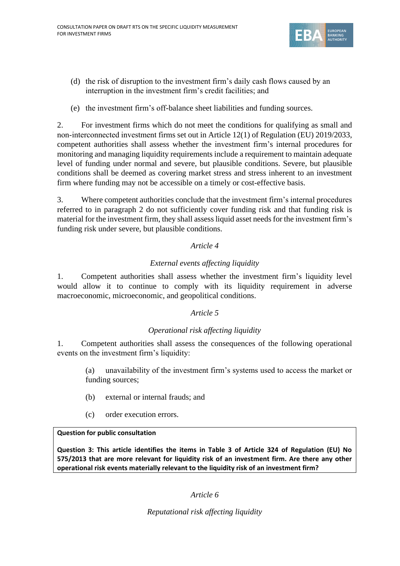

- (d) the risk of disruption to the investment firm's daily cash flows caused by an interruption in the investment firm's credit facilities; and
- (e) the investment firm's off-balance sheet liabilities and funding sources.

2. For investment firms which do not meet the conditions for qualifying as small and non‐interconnected investment firms set out in Article 12(1) of Regulation (EU) 2019/2033, competent authorities shall assess whether the investment firm's internal procedures for monitoring and managing liquidity requirements include a requirement to maintain adequate level of funding under normal and severe, but plausible conditions. Severe, but plausible conditions shall be deemed as covering market stress and stress inherent to an investment firm where funding may not be accessible on a timely or cost-effective basis.

3. Where competent authorities conclude that the investment firm's internal procedures referred to in paragraph 2 do not sufficiently cover funding risk and that funding risk is material for the investment firm, they shall assessliquid asset needs for the investment firm's funding risk under severe, but plausible conditions.

## *Article 4*

## *External events affecting liquidity*

1. Competent authorities shall assess whether the investment firm's liquidity level would allow it to continue to comply with its liquidity requirement in adverse macroeconomic, microeconomic, and geopolitical conditions.

## *Article 5*

## *Operational risk affecting liquidity*

1. Competent authorities shall assess the consequences of the following operational events on the investment firm's liquidity:

(a) unavailability of the investment firm's systems used to access the market or funding sources;

- (b) external or internal frauds; and
- (c) order execution errors.

## **Question for public consultation**

**Question 3: This article identifies the items in Table 3 of Article 324 of Regulation (EU) No 575/2013 that are more relevant for liquidity risk of an investment firm. Are there any other operational risk events materially relevant to the liquidity risk of an investment firm?** 

*Article 6*

*Reputational risk affecting liquidity*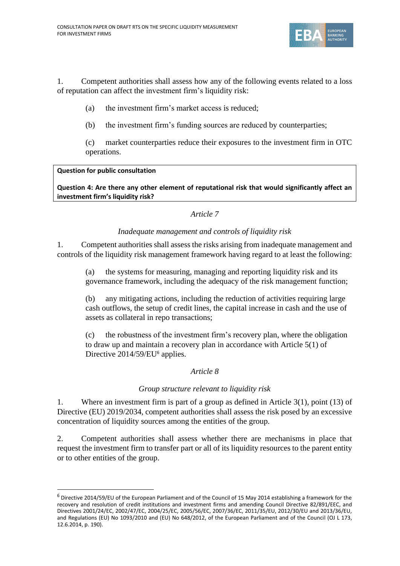

1. Competent authorities shall assess how any of the following events related to a loss of reputation can affect the investment firm's liquidity risk:

- (a) the investment firm's market access is reduced;
- (b) the investment firm's funding sources are reduced by counterparties;

(c) market counterparties reduce their exposures to the investment firm in OTC operations.

#### **Question for public consultation**

**Question 4: Are there any other element of reputational risk that would significantly affect an investment firm's liquidity risk?**

## *Article 7*

## *Inadequate management and controls of liquidity risk*

1. Competent authorities shall assess the risks arising from inadequate management and controls of the liquidity risk management framework having regard to at least the following:

(a) the systems for measuring, managing and reporting liquidity risk and its governance framework, including the adequacy of the risk management function;

(b) any mitigating actions, including the reduction of activities requiring large cash outflows, the setup of credit lines, the capital increase in cash and the use of assets as collateral in repo transactions;

(c) the robustness of the investment firm's recovery plan, where the obligation to draw up and maintain a recovery plan in accordance with Article 5(1) of Directive 2014/59/EU<sup>6</sup> applies.

## *Article 8*

## *Group structure relevant to liquidity risk*

1. Where an investment firm is part of a group as defined in Article 3(1), point (13) of Directive (EU) 2019/2034, competent authorities shall assess the risk posed by an excessive concentration of liquidity sources among the entities of the group.

2. Competent authorities shall assess whether there are mechanisms in place that request the investment firm to transfer part or all of its liquidity resources to the parent entity or to other entities of the group.

 $6$  Directive 2014/59/EU of the European Parliament and of the Council of 15 May 2014 establishing a framework for the recovery and resolution of credit institutions and investment firms and amending Council Directive 82/891/EEC, and Directives 2001/24/EC, 2002/47/EC, 2004/25/EC, 2005/56/EC, 2007/36/EC, 2011/35/EU, 2012/30/EU and 2013/36/EU, and Regulations (EU) No 1093/2010 and (EU) No 648/2012, of the European Parliament and of the Council (OJ L 173, 12.6.2014, p. 190).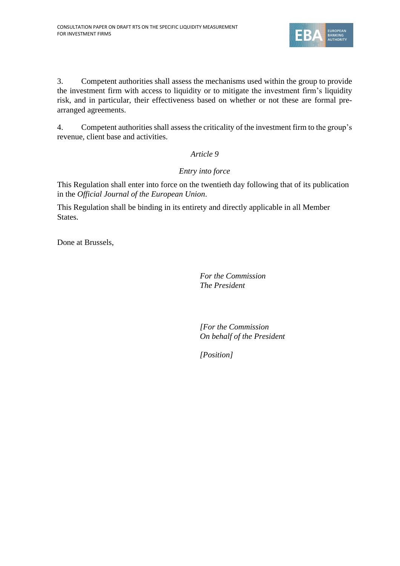

3. Competent authorities shall assess the mechanisms used within the group to provide the investment firm with access to liquidity or to mitigate the investment firm's liquidity risk, and in particular, their effectiveness based on whether or not these are formal prearranged agreements.

4. Competent authorities shall assess the criticality of the investment firm to the group's revenue, client base and activities.

## *Article 9*

# *Entry into force*

This Regulation shall enter into force on the twentieth day following that of its publication in the *Official Journal of the European Union*.

This Regulation shall be binding in its entirety and directly applicable in all Member States.

Done at Brussels,

*For the Commission The President* 

*[For the Commission On behalf of the President* 

*[Position]*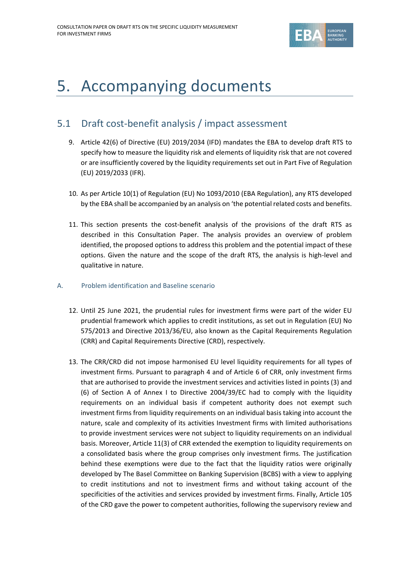

# <span id="page-14-0"></span>5. Accompanying documents

# <span id="page-14-1"></span>5.1 Draft cost-benefit analysis / impact assessment

- 9. Article 42(6) of Directive (EU) 2019/2034 (IFD) mandates the EBA to develop draft RTS to specify how to measure the liquidity risk and elements of liquidity risk that are not covered or are insufficiently covered by the liquidity requirements set out in Part Five of Regulation (EU) 2019/2033 (IFR).
- 10. As per Article 10(1) of Regulation (EU) No 1093/2010 (EBA Regulation), any RTS developed by the EBA shall be accompanied by an analysis on 'the potential related costs and benefits.
- 11. This section presents the cost-benefit analysis of the provisions of the draft RTS as described in this Consultation Paper. The analysis provides an overview of problem identified, the proposed options to address this problem and the potential impact of these options. Given the nature and the scope of the draft RTS, the analysis is high-level and qualitative in nature.
- A. Problem identification and Baseline scenario
	- 12. Until 25 June 2021, the prudential rules for investment firms were part of the wider EU prudential framework which applies to credit institutions, as set out in Regulation (EU) No 575/2013 and Directive 2013/36/EU, also known as the Capital Requirements Regulation (CRR) and Capital Requirements Directive (CRD), respectively.
	- 13. The CRR/CRD did not impose harmonised EU level liquidity requirements for all types of investment firms. Pursuant to paragraph 4 and of Article 6 of CRR, only investment firms that are authorised to provide the investment services and activities listed in points (3) and (6) of Section A of Annex I to Directive 2004/39/EC had to comply with the liquidity requirements on an individual basis if competent authority does not exempt such investment firms from liquidity requirements on an individual basis taking into account the nature, scale and complexity of its activities Investment firms with limited authorisations to provide investment services were not subject to liquidity requirements on an individual basis. Moreover, Article 11(3) of CRR extended the exemption to liquidity requirements on a consolidated basis where the group comprises only investment firms. The justification behind these exemptions were due to the fact that the liquidity ratios were originally developed by The Basel Committee on Banking Supervision (BCBS) with a view to applying to credit institutions and not to investment firms and without taking account of the specificities of the activities and services provided by investment firms. Finally, Article 105 of the CRD gave the power to competent authorities, following the supervisory review and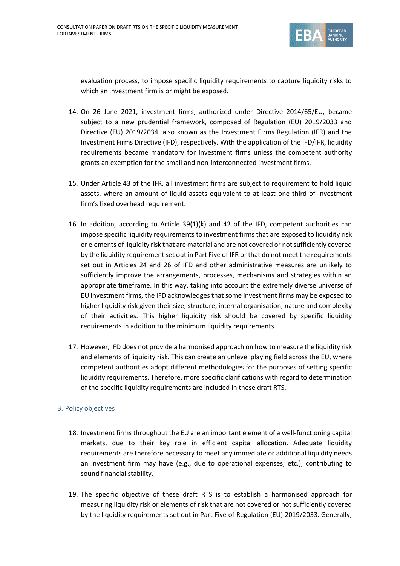

evaluation process, to impose specific liquidity requirements to capture liquidity risks to which an investment firm is or might be exposed.

- 14. On 26 June 2021, investment firms, authorized under Directive 2014/65/EU, became subject to a new prudential framework, composed of Regulation (EU) 2019/2033 and Directive (EU) 2019/2034, also known as the Investment Firms Regulation (IFR) and the Investment Firms Directive (IFD), respectively. With the application of the IFD/IFR, liquidity requirements became mandatory for investment firms unless the competent authority grants an exemption for the small and non-interconnected investment firms.
- 15. Under Article 43 of the IFR, all investment firms are subject to requirement to hold liquid assets, where an amount of liquid assets equivalent to at least one third of investment firm's fixed overhead requirement.
- 16. In addition, according to Article 39(1)(k) and 42 of the IFD, competent authorities can impose specific liquidity requirements to investment firms that are exposed to liquidity risk or elements of liquidity risk that are material and are not covered or not sufficiently covered by the liquidity requirement set out in Part Five of IFR or that do not meet the requirements set out in Articles 24 and 26 of IFD and other administrative measures are unlikely to sufficiently improve the arrangements, processes, mechanisms and strategies within an appropriate timeframe. In this way, taking into account the extremely diverse universe of EU investment firms, the IFD acknowledges that some investment firms may be exposed to higher liquidity risk given their size, structure, internal organisation, nature and complexity of their activities. This higher liquidity risk should be covered by specific liquidity requirements in addition to the minimum liquidity requirements.
- 17. However, IFD does not provide a harmonised approach on how to measure the liquidity risk and elements of liquidity risk. This can create an unlevel playing field across the EU, where competent authorities adopt different methodologies for the purposes of setting specific liquidity requirements. Therefore, more specific clarifications with regard to determination of the specific liquidity requirements are included in these draft RTS.

#### B. Policy objectives

- 18. Investment firms throughout the EU are an important element of a well-functioning capital markets, due to their key role in efficient capital allocation. Adequate liquidity requirements are therefore necessary to meet any immediate or additional liquidity needs an investment firm may have (e.g., due to operational expenses, etc.), contributing to sound financial stability.
- 19. The specific objective of these draft RTS is to establish a harmonised approach for measuring liquidity risk or elements of risk that are not covered or not sufficiently covered by the liquidity requirements set out in Part Five of Regulation (EU) 2019/2033. Generally,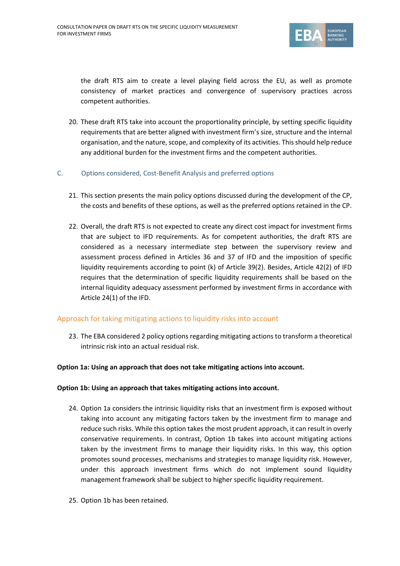

the draft RTS aim to create a level playing field across the EU, as well as promote consistency of market practices and convergence of supervisory practices across competent authorities.

- 20. These draft RTS take into account the proportionality principle, by setting specific liquidity requirements that are better aligned with investment firm's size, structure and the internal organisation, and the nature, scope, and complexity of its activities. This should help reduce any additional burden for the investment firms and the competent authorities.
- C. Options considered, Cost-Benefit Analysis and preferred options
	- 21. This section presents the main policy options discussed during the development of the CP, the costs and benefits of these options, as well as the preferred options retained in the CP.
	- 22. Overall, the draft RTS is not expected to create any direct cost impact for investment firms that are subject to IFD requirements. As for competent authorities, the draft RTS are considered as a necessary intermediate step between the supervisory review and assessment process defined in Articles 36 and 37 of IFD and the imposition of specific liquidity requirements according to point (k) of Article 39(2). Besides, Article 42(2) of IFD requires that the determination of specific liquidity requirements shall be based on the internal liquidity adequacy assessment performed by investment firms in accordance with Article 24(1) of the IFD.

#### Approach for taking mitigating actions to liquidity risks into account

23. The EBA considered 2 policy options regarding mitigating actions to transform a theoretical intrinsic risk into an actual residual risk.

#### **Option 1a: Using an approach that does not take mitigating actions into account.**

#### **Option 1b: Using an approach that takes mitigating actions into account.**

- 24. Option 1a considers the intrinsic liquidity risks that an investment firm is exposed without taking into account any mitigating factors taken by the investment firm to manage and reduce such risks. While this option takes the most prudent approach, it can result in overly conservative requirements. In contrast, Option 1b takes into account mitigating actions taken by the investment firms to manage their liquidity risks. In this way, this option promotes sound processes, mechanisms and strategies to manage liquidity risk. However, under this approach investment firms which do not implement sound liquidity management framework shall be subject to higher specific liquidity requirement.
- 25. Option 1b has been retained.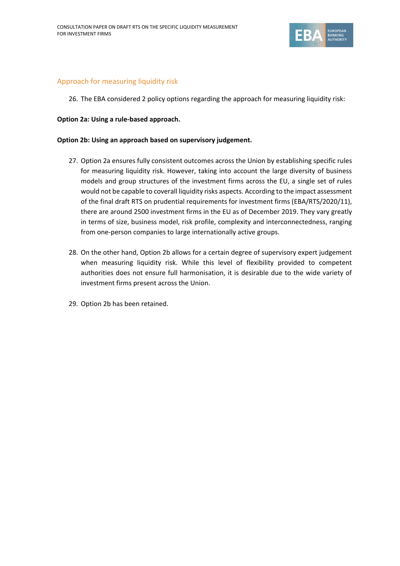

#### Approach for measuring liquidity risk

26. The EBA considered 2 policy options regarding the approach for measuring liquidity risk:

#### **Option 2a: Using a rule-based approach.**

#### **Option 2b: Using an approach based on supervisory judgement.**

- 27. Option 2a ensures fully consistent outcomes across the Union by establishing specific rules for measuring liquidity risk. However, taking into account the large diversity of business models and group structures of the investment firms across the EU, a single set of rules would not be capable to coverall liquidity risks aspects. According to the impact assessment of the final draft RTS on prudential requirements for investment firms (EBA/RTS/2020/11), there are around 2500 investment firms in the EU as of December 2019. They vary greatly in terms of size, business model, risk profile, complexity and interconnectedness, ranging from one-person companies to large internationally active groups.
- 28. On the other hand, Option 2b allows for a certain degree of supervisory expert judgement when measuring liquidity risk. While this level of flexibility provided to competent authorities does not ensure full harmonisation, it is desirable due to the wide variety of investment firms present across the Union.
- 29. Option 2b has been retained.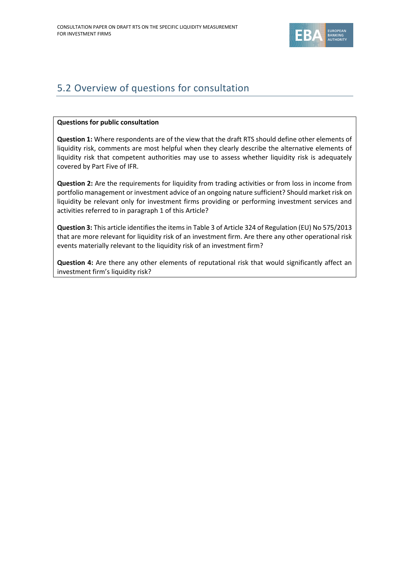

# <span id="page-18-0"></span>5.2 Overview of questions for consultation

#### **Questions for public consultation**

**Question 1:** Where respondents are of the view that the draft RTS should define other elements of liquidity risk, comments are most helpful when they clearly describe the alternative elements of liquidity risk that competent authorities may use to assess whether liquidity risk is adequately covered by Part Five of IFR.

**Question 2:** Are the requirements for liquidity from trading activities or from loss in income from portfolio management or investment advice of an ongoing nature sufficient? Should market risk on liquidity be relevant only for investment firms providing or performing investment services and activities referred to in paragraph 1 of this Article?

**Question 3:** This article identifies the items in Table 3 of Article 324 of Regulation (EU) No 575/2013 that are more relevant for liquidity risk of an investment firm. Are there any other operational risk events materially relevant to the liquidity risk of an investment firm?

**Question 4:** Are there any other elements of reputational risk that would significantly affect an investment firm's liquidity risk?